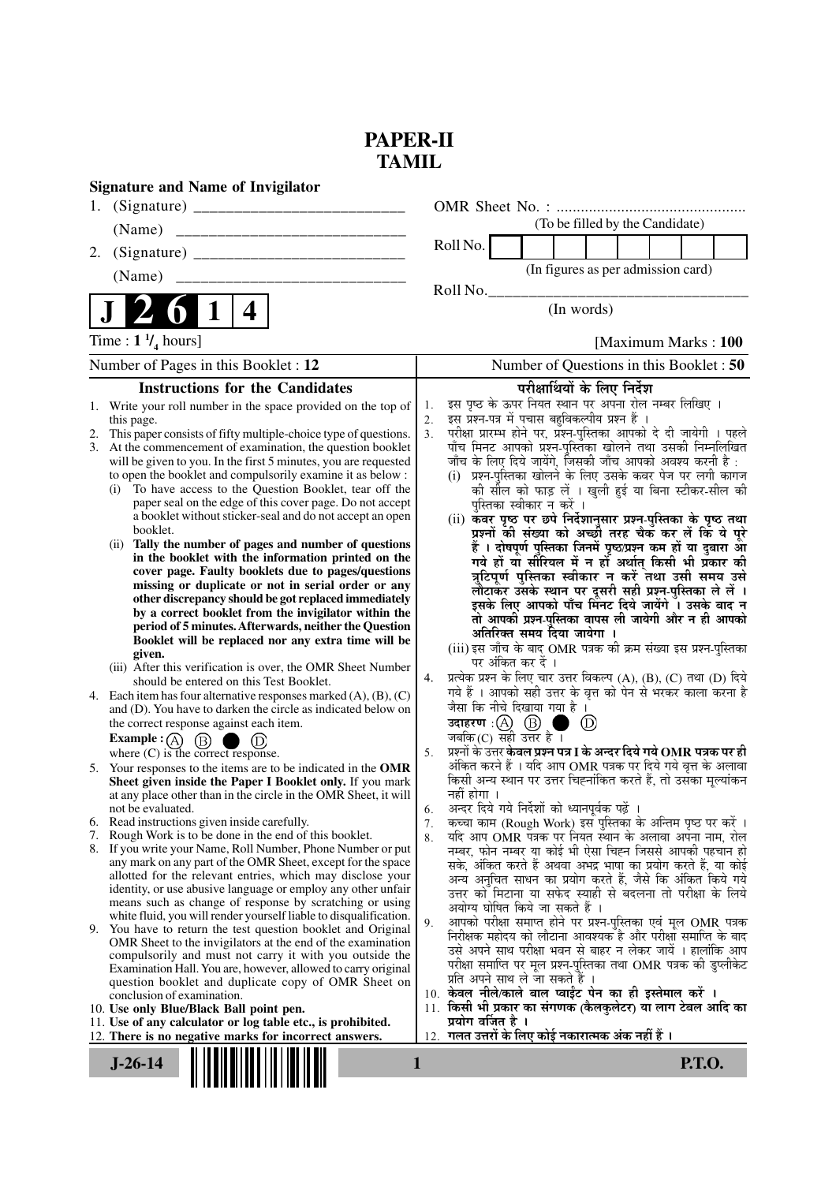# **PAPER-II TAMIL**

| <b>Signature and Name of Invigilator</b>                                                                                                                                                                                                                                                                                                                                                                                                                                                                                                                                                                                                                                                                                                                                                                                                                                                                                                                                                                                                                                                                                                                                                                                                                                                                                                                                                                                                                                                                                                                                                                                                                                                                                                                                                                                                                                                                                                                                                                                                                                                                                                                                                                                                                                                                                                                                        |                                                                                                                                                                                                                                                                                                                                                                                                                                                                                                                                                                                                                                                                                                                                                                                                                                                                                                                                                                                                                                                                                                                                                                                                                                                                                                                                                                                                                                                                                                                                                                                                                                                                                                                                                                                                                                                                                                                                                                                                                                                                                                                                                                                                                                                                                                                                                                                                                |
|---------------------------------------------------------------------------------------------------------------------------------------------------------------------------------------------------------------------------------------------------------------------------------------------------------------------------------------------------------------------------------------------------------------------------------------------------------------------------------------------------------------------------------------------------------------------------------------------------------------------------------------------------------------------------------------------------------------------------------------------------------------------------------------------------------------------------------------------------------------------------------------------------------------------------------------------------------------------------------------------------------------------------------------------------------------------------------------------------------------------------------------------------------------------------------------------------------------------------------------------------------------------------------------------------------------------------------------------------------------------------------------------------------------------------------------------------------------------------------------------------------------------------------------------------------------------------------------------------------------------------------------------------------------------------------------------------------------------------------------------------------------------------------------------------------------------------------------------------------------------------------------------------------------------------------------------------------------------------------------------------------------------------------------------------------------------------------------------------------------------------------------------------------------------------------------------------------------------------------------------------------------------------------------------------------------------------------------------------------------------------------|----------------------------------------------------------------------------------------------------------------------------------------------------------------------------------------------------------------------------------------------------------------------------------------------------------------------------------------------------------------------------------------------------------------------------------------------------------------------------------------------------------------------------------------------------------------------------------------------------------------------------------------------------------------------------------------------------------------------------------------------------------------------------------------------------------------------------------------------------------------------------------------------------------------------------------------------------------------------------------------------------------------------------------------------------------------------------------------------------------------------------------------------------------------------------------------------------------------------------------------------------------------------------------------------------------------------------------------------------------------------------------------------------------------------------------------------------------------------------------------------------------------------------------------------------------------------------------------------------------------------------------------------------------------------------------------------------------------------------------------------------------------------------------------------------------------------------------------------------------------------------------------------------------------------------------------------------------------------------------------------------------------------------------------------------------------------------------------------------------------------------------------------------------------------------------------------------------------------------------------------------------------------------------------------------------------------------------------------------------------------------------------------------------------|
| 1.                                                                                                                                                                                                                                                                                                                                                                                                                                                                                                                                                                                                                                                                                                                                                                                                                                                                                                                                                                                                                                                                                                                                                                                                                                                                                                                                                                                                                                                                                                                                                                                                                                                                                                                                                                                                                                                                                                                                                                                                                                                                                                                                                                                                                                                                                                                                                                              |                                                                                                                                                                                                                                                                                                                                                                                                                                                                                                                                                                                                                                                                                                                                                                                                                                                                                                                                                                                                                                                                                                                                                                                                                                                                                                                                                                                                                                                                                                                                                                                                                                                                                                                                                                                                                                                                                                                                                                                                                                                                                                                                                                                                                                                                                                                                                                                                                |
| (Name)<br>________________________________                                                                                                                                                                                                                                                                                                                                                                                                                                                                                                                                                                                                                                                                                                                                                                                                                                                                                                                                                                                                                                                                                                                                                                                                                                                                                                                                                                                                                                                                                                                                                                                                                                                                                                                                                                                                                                                                                                                                                                                                                                                                                                                                                                                                                                                                                                                                      | (To be filled by the Candidate)                                                                                                                                                                                                                                                                                                                                                                                                                                                                                                                                                                                                                                                                                                                                                                                                                                                                                                                                                                                                                                                                                                                                                                                                                                                                                                                                                                                                                                                                                                                                                                                                                                                                                                                                                                                                                                                                                                                                                                                                                                                                                                                                                                                                                                                                                                                                                                                |
| 2.                                                                                                                                                                                                                                                                                                                                                                                                                                                                                                                                                                                                                                                                                                                                                                                                                                                                                                                                                                                                                                                                                                                                                                                                                                                                                                                                                                                                                                                                                                                                                                                                                                                                                                                                                                                                                                                                                                                                                                                                                                                                                                                                                                                                                                                                                                                                                                              | Roll No.                                                                                                                                                                                                                                                                                                                                                                                                                                                                                                                                                                                                                                                                                                                                                                                                                                                                                                                                                                                                                                                                                                                                                                                                                                                                                                                                                                                                                                                                                                                                                                                                                                                                                                                                                                                                                                                                                                                                                                                                                                                                                                                                                                                                                                                                                                                                                                                                       |
| (Name)                                                                                                                                                                                                                                                                                                                                                                                                                                                                                                                                                                                                                                                                                                                                                                                                                                                                                                                                                                                                                                                                                                                                                                                                                                                                                                                                                                                                                                                                                                                                                                                                                                                                                                                                                                                                                                                                                                                                                                                                                                                                                                                                                                                                                                                                                                                                                                          | (In figures as per admission card)                                                                                                                                                                                                                                                                                                                                                                                                                                                                                                                                                                                                                                                                                                                                                                                                                                                                                                                                                                                                                                                                                                                                                                                                                                                                                                                                                                                                                                                                                                                                                                                                                                                                                                                                                                                                                                                                                                                                                                                                                                                                                                                                                                                                                                                                                                                                                                             |
|                                                                                                                                                                                                                                                                                                                                                                                                                                                                                                                                                                                                                                                                                                                                                                                                                                                                                                                                                                                                                                                                                                                                                                                                                                                                                                                                                                                                                                                                                                                                                                                                                                                                                                                                                                                                                                                                                                                                                                                                                                                                                                                                                                                                                                                                                                                                                                                 | Roll No.                                                                                                                                                                                                                                                                                                                                                                                                                                                                                                                                                                                                                                                                                                                                                                                                                                                                                                                                                                                                                                                                                                                                                                                                                                                                                                                                                                                                                                                                                                                                                                                                                                                                                                                                                                                                                                                                                                                                                                                                                                                                                                                                                                                                                                                                                                                                                                                                       |
| $\bf{l}$<br>4                                                                                                                                                                                                                                                                                                                                                                                                                                                                                                                                                                                                                                                                                                                                                                                                                                                                                                                                                                                                                                                                                                                                                                                                                                                                                                                                                                                                                                                                                                                                                                                                                                                                                                                                                                                                                                                                                                                                                                                                                                                                                                                                                                                                                                                                                                                                                                   | (In words)                                                                                                                                                                                                                                                                                                                                                                                                                                                                                                                                                                                                                                                                                                                                                                                                                                                                                                                                                                                                                                                                                                                                                                                                                                                                                                                                                                                                                                                                                                                                                                                                                                                                                                                                                                                                                                                                                                                                                                                                                                                                                                                                                                                                                                                                                                                                                                                                     |
| Time : $1 \frac{1}{4}$ hours]                                                                                                                                                                                                                                                                                                                                                                                                                                                                                                                                                                                                                                                                                                                                                                                                                                                                                                                                                                                                                                                                                                                                                                                                                                                                                                                                                                                                                                                                                                                                                                                                                                                                                                                                                                                                                                                                                                                                                                                                                                                                                                                                                                                                                                                                                                                                                   | [Maximum Marks: 100]                                                                                                                                                                                                                                                                                                                                                                                                                                                                                                                                                                                                                                                                                                                                                                                                                                                                                                                                                                                                                                                                                                                                                                                                                                                                                                                                                                                                                                                                                                                                                                                                                                                                                                                                                                                                                                                                                                                                                                                                                                                                                                                                                                                                                                                                                                                                                                                           |
| Number of Pages in this Booklet : 12                                                                                                                                                                                                                                                                                                                                                                                                                                                                                                                                                                                                                                                                                                                                                                                                                                                                                                                                                                                                                                                                                                                                                                                                                                                                                                                                                                                                                                                                                                                                                                                                                                                                                                                                                                                                                                                                                                                                                                                                                                                                                                                                                                                                                                                                                                                                            | Number of Questions in this Booklet : 50                                                                                                                                                                                                                                                                                                                                                                                                                                                                                                                                                                                                                                                                                                                                                                                                                                                                                                                                                                                                                                                                                                                                                                                                                                                                                                                                                                                                                                                                                                                                                                                                                                                                                                                                                                                                                                                                                                                                                                                                                                                                                                                                                                                                                                                                                                                                                                       |
|                                                                                                                                                                                                                                                                                                                                                                                                                                                                                                                                                                                                                                                                                                                                                                                                                                                                                                                                                                                                                                                                                                                                                                                                                                                                                                                                                                                                                                                                                                                                                                                                                                                                                                                                                                                                                                                                                                                                                                                                                                                                                                                                                                                                                                                                                                                                                                                 |                                                                                                                                                                                                                                                                                                                                                                                                                                                                                                                                                                                                                                                                                                                                                                                                                                                                                                                                                                                                                                                                                                                                                                                                                                                                                                                                                                                                                                                                                                                                                                                                                                                                                                                                                                                                                                                                                                                                                                                                                                                                                                                                                                                                                                                                                                                                                                                                                |
| <b>Instructions for the Candidates</b><br>1. Write your roll number in the space provided on the top of<br>this page.<br>2. This paper consists of fifty multiple-choice type of questions.<br>3. At the commencement of examination, the question booklet<br>will be given to you. In the first 5 minutes, you are requested<br>to open the booklet and compulsorily examine it as below :<br>To have access to the Question Booklet, tear off the<br>(i)<br>paper seal on the edge of this cover page. Do not accept<br>a booklet without sticker-seal and do not accept an open<br>booklet.<br>Tally the number of pages and number of questions<br>(i)<br>in the booklet with the information printed on the<br>cover page. Faulty booklets due to pages/questions<br>missing or duplicate or not in serial order or any<br>other discrepancy should be got replaced immediately<br>by a correct booklet from the invigilator within the<br>period of 5 minutes. Afterwards, neither the Question<br>Booklet will be replaced nor any extra time will be<br>given.<br>(iii) After this verification is over, the OMR Sheet Number<br>should be entered on this Test Booklet.<br>4. Each item has four alternative responses marked $(A)$ , $(B)$ , $(C)$<br>and (D). You have to darken the circle as indicated below on<br>the correct response against each item.<br><b>Example:</b> (A) $(B)$<br>(D)<br>where $(C)$ is the correct response.<br>5. Your responses to the items are to be indicated in the OMR<br>Sheet given inside the Paper I Booklet only. If you mark<br>at any place other than in the circle in the OMR Sheet, it will<br>not be evaluated.<br>Read instructions given inside carefully.<br>6.<br>Rough Work is to be done in the end of this booklet.<br>7.<br>8. If you write your Name, Roll Number, Phone Number or put<br>any mark on any part of the OMR Sheet, except for the space<br>allotted for the relevant entries, which may disclose your<br>identity, or use abusive language or employ any other unfair<br>means such as change of response by scratching or using<br>white fluid, you will render yourself liable to disqualification.<br>9. You have to return the test question booklet and Original<br>OMR Sheet to the invigilators at the end of the examination<br>compulsorily and must not carry it with you outside the | परीक्षार्थियों के लिए निर्देश<br>इस पृष्ठ के ऊपर नियत स्थान पर अपना रोल नम्बर लिखिए ।<br>1.<br>इस प्रश्न-पत्र में पचास बहुविकल्पीय प्रश्न हैं ।<br>2.<br>परीक्षा प्रारम्भ होने पर, प्रश्न-पुस्तिका आपको दे दी जायेगी । पहले<br>3.<br>पाँच मिनट आपको प्रश्न-पुस्तिका खोलने तथा उसकी निम्नलिखित<br>जाँच के लिए दिये जायेंगे, जिसकी जाँच आपको अवश्य करनी है :<br>(i) प्रश्न-पुस्तिका खोलने के लिए उसके कवर पेज पर लगी कागज<br>की सील को फाड़ लें । खुली हुई या बिना स्टीकर-सील की<br>पुस्तिका स्वीकार न करें ।<br>(ii) कवर पृष्ठ पर छपे निर्देशानुसार प्रश्न-पुस्तिका के पृष्ठ तथा<br>प्रश्नों की संख्या को अच्छी तरह चैक कर लें कि ये पूरे<br>हैं । दोषपूर्ण पुस्तिका जिनमें पृष्ठ/प्रश्न कम हों या दुबारा आँ<br>गये हों या सौरियल में न हों अर्थात् किसी भी प्रॅकार की<br>त्रुटिपूर्ण पुस्तिका स्वीकार न करें तथा उसी समय उसे<br>लौटाकर उसके स्थान पर दूसरी सही प्रश्न-पुस्तिका ले लें ।<br>इसके लिए आपको पाँच मिनट दिये जायेंगे ँ। उसके बाद न<br>तो आपकी प्रश्न-पुस्तिका वापस ली जायेगी और न ही आपको<br>अतिरिक्त समय दिया जायेगा ।<br>(iii) इस जाँच के बाद OMR पत्रक की क्रम संख्या इस प्रश्न-पुस्तिका<br>पर अंकित कर दें ।<br>प्रत्येक प्रश्न के लिए चार उत्तर विकल्प (A), (B), (C) तथा (D) दिये<br>4.<br>गये हैं । आपको सही उत्तर के वृत्त को पेन से भरकर काला करना है<br>जैसा कि नीचे दिखाया गया है ।<br>उदाहरण : (A) (B) ।<br>$\circledcirc$<br>n a<br>जबकि (C) सही उत्तर है $\overline{1}$<br>प्रश्नों के उत्तर <b>केवल प्रश्न पत्र I के अन्दर दिये गये OMR पत्रक पर ही</b><br>5.<br>अंकित करने हैं । यदि आप OMR पत्रक पर दिये गये वृत्त के अलावा<br>किसी अन्य स्थान पर उत्तर चिह्नांकित करते हैं, तो उसका मूल्यांकन<br>नहीं होगा ।<br>अन्दर दिये गये निर्देशों को ध्यानपूर्वक पढ़ें ।<br>6.<br>कच्चा काम (Rough Work) इस पुस्तिका के अन्तिम पृष्ठ पर करें ।<br>7.<br>यदि आप OMR पत्रक पर नियत स्थान के अलावा अपना नाम, रोल<br>8.<br>नम्बर, फोन नम्बर या कोई भी ऐसा चिह्न जिससे आपकी पहचान हो<br>सके, अंकित करते हैं अथवा अभद्र भाषा का प्रयोग करते हैं, या कोई<br>अन्य अनुचित साधन का प्रयोग करते हैं, जैसे कि अंकित किये गये<br>उत्तर को मिटाना या सफेद स्याही से बदलना तो परीक्षा के लिये<br>अयोग्य घोषित किये जा सकते हैं ।<br>आपको परीक्षा समाप्त होने पर प्रश्न-पुस्तिका एवं मूल OMR पत्रक<br>9.<br>निरीक्षक महोदय को लौटाना आवश्यक है और परीक्षा समाप्ति के बाद<br>उसे अपने साथ परीक्षा भवन से बाहर न लेकर जायें । हालांकि आप<br>परीक्षा समाप्ति पर मूल प्रश्न-पुस्तिका तथा OMR पत्रक की डुप्लीकेट |
| Examination Hall. You are, however, allowed to carry original<br>question booklet and duplicate copy of OMR Sheet on<br>conclusion of examination.<br>10. Use only Blue/Black Ball point pen.<br>11. Use of any calculator or log table etc., is prohibited.<br>12. There is no negative marks for incorrect answers.                                                                                                                                                                                                                                                                                                                                                                                                                                                                                                                                                                                                                                                                                                                                                                                                                                                                                                                                                                                                                                                                                                                                                                                                                                                                                                                                                                                                                                                                                                                                                                                                                                                                                                                                                                                                                                                                                                                                                                                                                                                           | प्रति अपने साथ ले जा सकते हैं ।<br>10. केवल नीले/काले बाल प्वाईट पेन का ही इस्तेमाल करें ।<br>किसी भी प्रकार का संगणक (कैलकुलेटर) या लाग टेबल आदि का<br>11.<br>प्रयोग वर्जित है ।<br>12.  गलत उत्तरों के लिए कोई नकारात्मक अंक नहीं हैं ।                                                                                                                                                                                                                                                                                                                                                                                                                                                                                                                                                                                                                                                                                                                                                                                                                                                                                                                                                                                                                                                                                                                                                                                                                                                                                                                                                                                                                                                                                                                                                                                                                                                                                                                                                                                                                                                                                                                                                                                                                                                                                                                                                                      |
| $J-26-14$                                                                                                                                                                                                                                                                                                                                                                                                                                                                                                                                                                                                                                                                                                                                                                                                                                                                                                                                                                                                                                                                                                                                                                                                                                                                                                                                                                                                                                                                                                                                                                                                                                                                                                                                                                                                                                                                                                                                                                                                                                                                                                                                                                                                                                                                                                                                                                       | <b>P.T.O.</b><br>1                                                                                                                                                                                                                                                                                                                                                                                                                                                                                                                                                                                                                                                                                                                                                                                                                                                                                                                                                                                                                                                                                                                                                                                                                                                                                                                                                                                                                                                                                                                                                                                                                                                                                                                                                                                                                                                                                                                                                                                                                                                                                                                                                                                                                                                                                                                                                                                             |
|                                                                                                                                                                                                                                                                                                                                                                                                                                                                                                                                                                                                                                                                                                                                                                                                                                                                                                                                                                                                                                                                                                                                                                                                                                                                                                                                                                                                                                                                                                                                                                                                                                                                                                                                                                                                                                                                                                                                                                                                                                                                                                                                                                                                                                                                                                                                                                                 |                                                                                                                                                                                                                                                                                                                                                                                                                                                                                                                                                                                                                                                                                                                                                                                                                                                                                                                                                                                                                                                                                                                                                                                                                                                                                                                                                                                                                                                                                                                                                                                                                                                                                                                                                                                                                                                                                                                                                                                                                                                                                                                                                                                                                                                                                                                                                                                                                |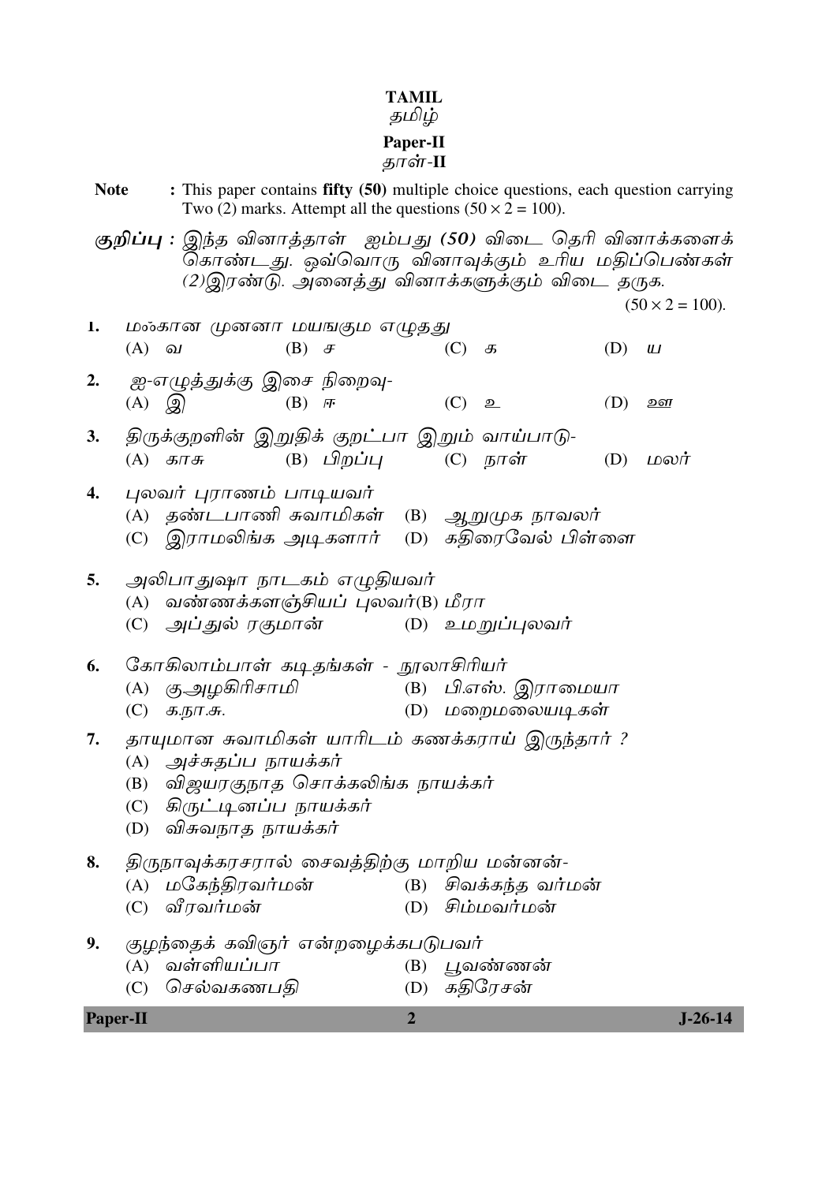# $\begin{array}{c}\textbf{TAMIL}\ \mathcal{B}\ \mathcal{L}\end{array}$

# **Paper-II**<br>தாள்-II

| <b>Note</b> |                                                                                                                                                                          |              |                             |                                                              |                |     | Two (2) marks. Attempt all the questions $(50 \times 2 = 100)$ .                        |     | : This paper contains fifty (50) multiple choice questions, each question carrying                                                        |
|-------------|--------------------------------------------------------------------------------------------------------------------------------------------------------------------------|--------------|-----------------------------|--------------------------------------------------------------|----------------|-----|-----------------------------------------------------------------------------------------|-----|-------------------------------------------------------------------------------------------------------------------------------------------|
|             |                                                                                                                                                                          |              |                             |                                                              |                |     | (2)இரண்டு. அனைத்து வினாக்களுக்கும் விடை தருக.                                           |     | குறிப்பு : இந்த வினாத்தாள் ஐம்பது (50) விடை தெரி வினாக்களைக்<br>கொண்டது. ஒவ்வொரு வினாவுக்கும் உரிய மதிப்பெண்கள்<br>$(50 \times 2 = 100).$ |
| 1.          | $(A)$ $\omega$                                                                                                                                                           |              |                             | மன்கான் முன்னா மயஙகும் எழுத்து<br>$(B)$ $\sigma$             |                | (C) | க                                                                                       | (D) | Ш                                                                                                                                         |
| 2.          |                                                                                                                                                                          |              | $(A)$ $\mathbb{Q}$          | ஐ-எழுத்துக்கு இசை நிறைவு-<br>$(B)$ $\mathcal{F}$             |                | (C) | உ                                                                                       | (D) | ஊ                                                                                                                                         |
| 3.          |                                                                                                                                                                          | $(A)$ $5\pi$ |                             | (B) பிறப்பு                                                  |                |     | திருக்குறளின் இறுதிக் குறட்பா இறும் வாய்பாடு-<br>(C) நாள்                               | (D) | மலர்                                                                                                                                      |
| 4.          |                                                                                                                                                                          |              |                             | புலவர் புராணம் பாடியவர்                                      |                |     | (A) தண்டபாணி சுவாமிகள் (B) ஆறுமுக நாவலர்<br>(C) இராமலிங்க அடிகளார் (D) கதிரைவேல் பிள்ளை |     |                                                                                                                                           |
| 5.          | (A)                                                                                                                                                                      |              | (C)   அப்துல் ரகுமான்       | அலிபாதுஷா நாடகம் எழுதியவர்<br>வண்ணக்களஞ்சியப் புலவர்(B) மீரா |                |     | (D) உம <i>றுப்புலவர்</i>                                                                |     |                                                                                                                                           |
| 6.          | (C)                                                                                                                                                                      | க.நா.சு.     | (A) கு.அழகிரிசாமி           | கோகிலாம்பாள் கடிதங்கள் - நூலாசிரியர்                         |                |     | (B) பி.எஸ். இராமையா<br>(D) மறைமலையடிகள்                                                 |     |                                                                                                                                           |
| 7.          | தாயுமான சுவாமிகள் யாரிடம் கணக்கராய் இருந்தார் ?<br>(A) அச்சுதப்ப நாயக்கர்<br>(B) விஜயரகுநாத சொக்கலிங்க நாயக்கர்<br>(C) கிருட்டினப்ப நாயக்கர்<br>விசுவநாத நாயக்கர்<br>(D) |              |                             |                                                              |                |     |                                                                                         |     |                                                                                                                                           |
| 8.          | (A)<br>(C)                                                                                                                                                               |              | மகேந்திரவர்மன்<br>வீரவர்மன் |                                                              |                |     | திருநாவுக்கரசரால் சைவத்திற்கு மாறிய மன்னன்-<br>(B) சிவக்கந்த வர்மன்<br>(D) சிம்மவர்மன்  |     |                                                                                                                                           |
| 9.          | (A)<br>(C)                                                                                                                                                               |              | வள்ளியப்பா<br>செல்வகணபதி    | குழந்தைக் கவிஞர் என்றழைக்கபடுபவர்                            | (B)<br>(D)     |     | பூவண்ணன்<br>கதிரேசன்                                                                    |     |                                                                                                                                           |
| Paper-II    |                                                                                                                                                                          |              |                             |                                                              | $\overline{2}$ |     |                                                                                         |     | $J-26-14$                                                                                                                                 |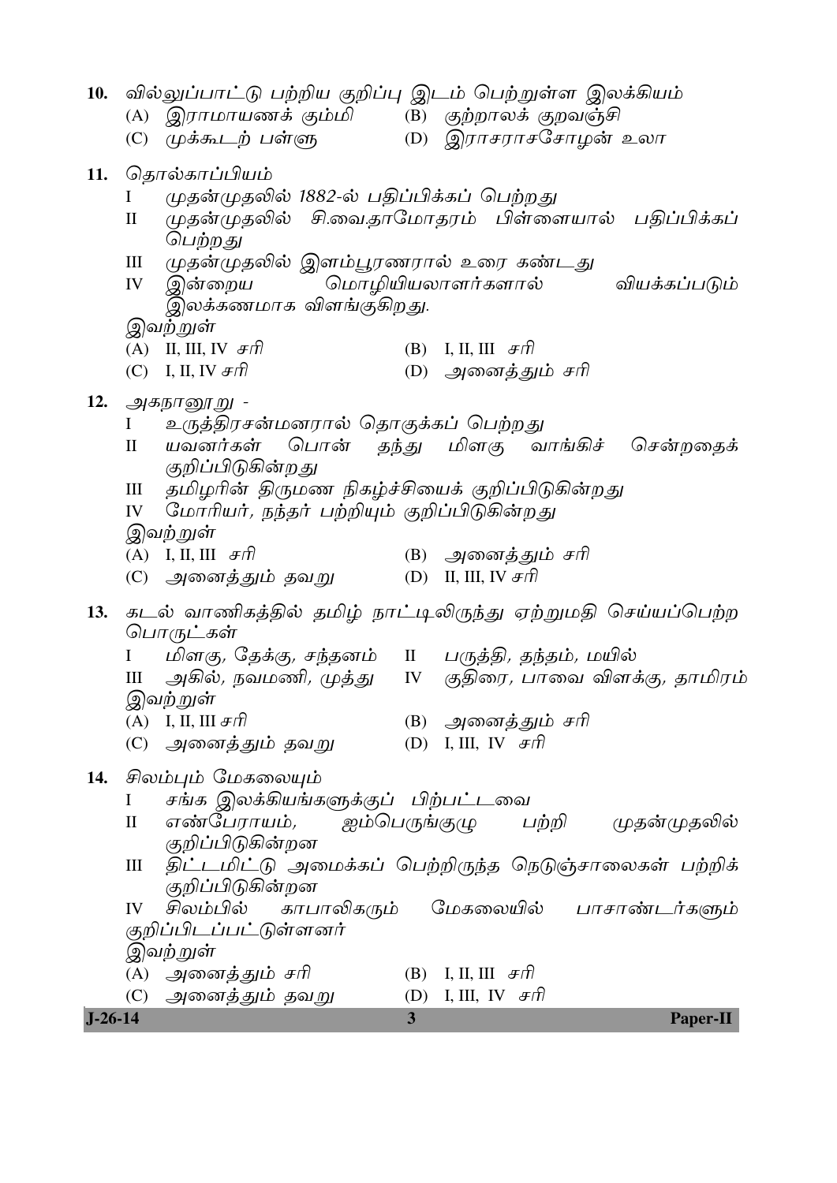| $J - 26 - 14$ |               |                                                                      | $\overline{3}$ | <b>Paper-II</b>                                             |
|---------------|---------------|----------------------------------------------------------------------|----------------|-------------------------------------------------------------|
|               |               | (C) அனைத்தும் தவறு                                                   |                | (D) I, III, IV $\mathcal{F}\eta$                            |
|               |               | (A)   அனைத்தும்  சரி                                                 |                | (B) I, II, III $Ff$                                         |
|               |               | இவற்றுள்                                                             |                |                                                             |
|               |               | குறிப்பிடப்பட்டுள்ளனர்                                               |                |                                                             |
|               | IV            |                                                                      |                | சிலம்பில் காபாலிகரும் மேகலையில் பாசாண்டர்களும்              |
|               | $\rm III$     | குறிப்பிடுகின்றன                                                     |                | திட்டமிட்டு அமைக்கப் பெற்றிருந்த நெடுஞ்சாலைகள் பற்றிக்      |
|               |               | குறிப்பிடுகின்றன                                                     |                |                                                             |
|               | $\mathbf{I}$  |                                                                      |                | எண்பேராயம், ஐம்பெருங்குழு பற்றி முதன்முதலில்                |
|               | Ι             | சங்க இலக்கியங்களுக்குப் பிற்பட்டவை                                   |                |                                                             |
| 14.           |               | சிலம்பும் மேகலையும்                                                  |                |                                                             |
|               |               | (C)   அனைத்தும் தவறு                                                 |                | (D) I, III, IV $F\bar{f}$                                   |
|               |               | (A) I, II, III $\#$ $\pi$                                            |                | (B) அனைத்தும் சரி                                           |
|               |               | இவற்றுள்                                                             |                |                                                             |
|               | Ш             |                                                                      |                | அகில், நவமணி, முத்து    IV   குதிரை, பாவை விளக்கு, தாமிரம்  |
|               |               | I மிளகு, தேக்கு, சந்தனம் II பருத்தி, தந்தம், மயில்                   |                |                                                             |
| 13.           |               | பொருட்கள்                                                            |                | கடல் வாணிகத்தில் தமிழ் நாட்டிலிருந்து ஏற்றுமதி செய்யப்பெற்ற |
|               |               |                                                                      |                |                                                             |
|               |               | (C)   அனைத்தும் தவறு                                                 |                | (D) II, III, IV $\mathcal{F}\eta$                           |
|               |               | (A) I, II, III $\mathcal{F}\hat{\pi}$                                |                | (B) அனைத்தும் சரி                                           |
|               |               | இவற்றுள்                                                             |                |                                                             |
|               | IV            | மோரியர், நந்தர் பற்றியும் குறிப்பிடுகின்றது                          |                |                                                             |
|               | Ш             | குறிப்பிடுகின்றது<br>தமிழரின் திருமண நிகழ்ச்சியைக் குறிப்பிடுகின்றது |                |                                                             |
|               | $\mathbf{I}$  |                                                                      |                | யவனர்கள் பொன் தந்து மிளகு வாங்கிச் சென்றதைக்                |
|               | $\mathbf{I}$  | உருத்திரசன்மனரால் தொகுக்கப் பெற்றது                                  |                |                                                             |
| 12.           |               | அகநானூறு -                                                           |                |                                                             |
|               |               | $(C)$ I, II, IV $\mathcal{F}\hat{\Pi}$                               |                | (D) அனைத்தும் சரி                                           |
|               |               | (A) II, III, IV $\mathcal{F}\eta$                                    |                | (B) I, II, III $Ff$                                         |
|               |               | இவற்றுள்                                                             |                |                                                             |
|               |               | இலக்கணமாக விளங்குகிறது.                                              |                |                                                             |
|               | IV            | இன்றைய                                                               |                | மொழியியலாளர்களால்<br>வியக்கப்படும்                          |
|               | Ш             | முதன்முதலில் இளம்பூரணரால் உரை கண்டது                                 |                |                                                             |
|               |               | பெற்றது                                                              |                |                                                             |
|               | L<br>$\rm II$ | முதன்முதலில் 1882-ல் பதிப்பிக்கப் பெற்றது                            |                | முதன்முதலில் சி.வை.தாமோதரம் பிள்ளையால் பதிப்பிக்கப்         |
| 11.           |               | தொல்காப்பியம்                                                        |                |                                                             |
|               |               |                                                                      |                |                                                             |
|               |               | (C) முக்கூடற் பள்ளு          (D) இராசராசசோழன் உலா                    |                |                                                             |
|               |               | (A) இராமாயணக் கும்மி      (B)  குற்றாலக் குறவஞ்சி                    |                |                                                             |
| 10.           |               |                                                                      |                | வில்லுப்பாட்டு பற்றிய குறிப்பு இடம் பெற்றுள்ள இலக்கியம்     |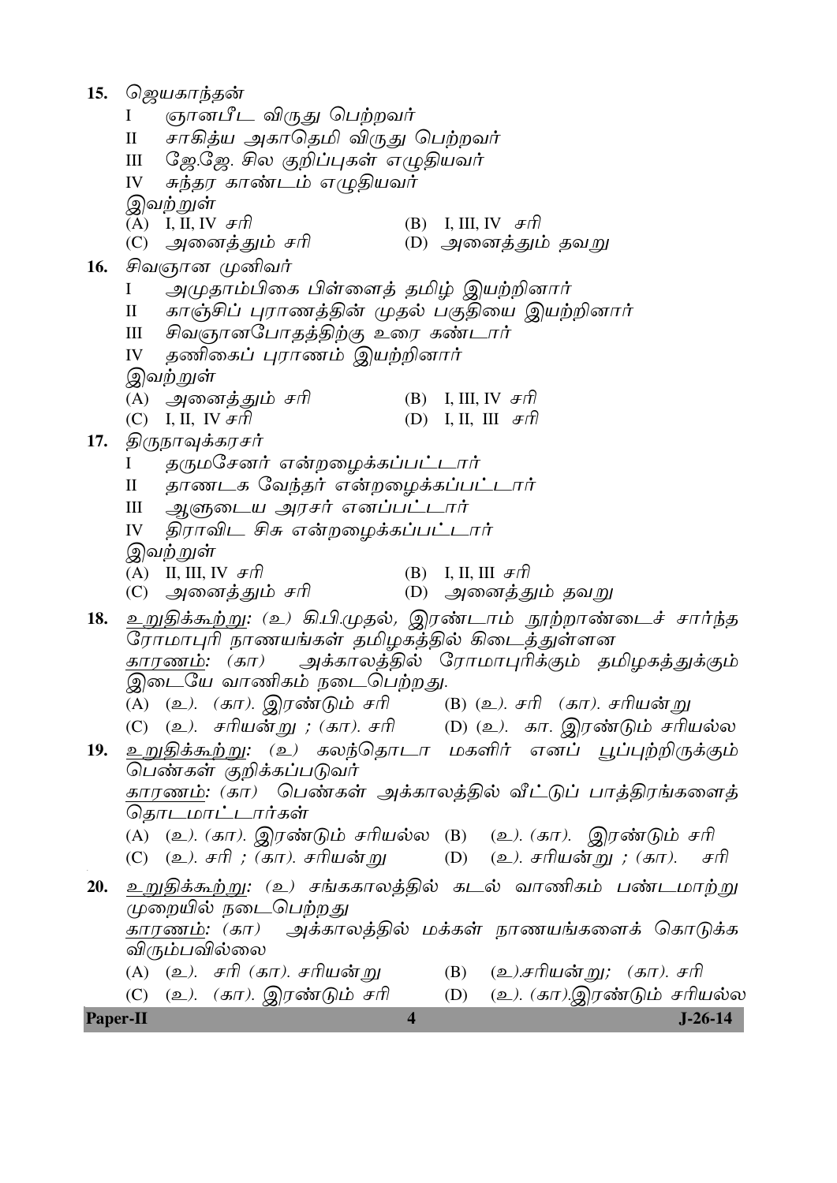| 15.             |                                                 | ஜெயகாந்தன்                        |                                                                            |                         |  |                                      |  |           |
|-----------------|-------------------------------------------------|-----------------------------------|----------------------------------------------------------------------------|-------------------------|--|--------------------------------------|--|-----------|
|                 | I                                               |                                   | ஞானபீட விருது பெற்றவர்                                                     |                         |  |                                      |  |           |
|                 | சாகித்ய அகாதெமி விருது பெற்றவர்<br>$\mathbf{I}$ |                                   |                                                                            |                         |  |                                      |  |           |
|                 | ஜே.ஜே. சில குறிப்புகள் எழுதியவர்<br>$\rm III$   |                                   |                                                                            |                         |  |                                      |  |           |
|                 | IV                                              |                                   | சுந்தர காண்டம் எழுதியவர்                                                   |                         |  |                                      |  |           |
|                 |                                                 | இவற்றுள்                          |                                                                            |                         |  |                                      |  |           |
|                 |                                                 | (A) I, II, IV $\mathcal{F}\eta$   |                                                                            |                         |  | (B) I, III, IV $\mathcal{F}\eta$     |  |           |
|                 |                                                 | (C) அனைத்தும் சரி                 |                                                                            |                         |  | (D) அனைத்தும் தவறு                   |  |           |
|                 |                                                 | 16. சிவஞான முனிவர்                |                                                                            |                         |  |                                      |  |           |
|                 | $\bf{I}$                                        |                                   | அமுதாம்பிகை பிள்ளைத் தமிழ் இயற்றினார்                                      |                         |  |                                      |  |           |
|                 | $\mathop{\mathrm{II}}\nolimits$                 |                                   | காஞ்சிப் புராணத்தின் முதல் பகுதியை இயற்றினார்                              |                         |  |                                      |  |           |
|                 | Ш                                               |                                   | சிவஞானபோதத்திற்கு உரை கண்டார்                                              |                         |  |                                      |  |           |
|                 | IV                                              |                                   | தணிகைப் புராணம் இயற்றினார்                                                 |                         |  |                                      |  |           |
|                 |                                                 | இவற்றுள்                          |                                                                            |                         |  |                                      |  |           |
|                 |                                                 | (A)   அனைத்தும்  சரி              |                                                                            |                         |  | (B) I, III, IV $\mathcal{F}\eta$     |  |           |
|                 |                                                 | (C) I, II, IV $\mathcal{F}\eta$   |                                                                            |                         |  | (D) I, II, III $Ff$                  |  |           |
| 17.             |                                                 | திருநாவுக்கரசர்                   |                                                                            |                         |  |                                      |  |           |
|                 | $\bf{I}$                                        |                                   | தருமசேனர் என்றழைக்கப்பட்டார்                                               |                         |  |                                      |  |           |
|                 | $\mathbf{I}$                                    |                                   | தாணடக வேந்தர் என்றழைக்கப்பட்டார்                                           |                         |  |                                      |  |           |
|                 | $\rm III$                                       |                                   | ஆளுடைய அரசர் எனப்பட்டார்                                                   |                         |  |                                      |  |           |
|                 | IV                                              |                                   | திராவிட சிசு என்றழைக்கப்பட்டார்                                            |                         |  |                                      |  |           |
|                 |                                                 | இவற்றுள்                          |                                                                            |                         |  |                                      |  |           |
|                 |                                                 | (A) II, III, IV $\mathcal{F}\eta$ |                                                                            |                         |  | (B) I, II, III $\#$ ft               |  |           |
|                 |                                                 | (C)   அனைத்தும்  சரி              |                                                                            |                         |  | (D)   அனைத்தும் தவறு                 |  |           |
| 18.             |                                                 |                                   | <u>உறுதிக்கூற்று</u> : (உ) கி.பி.முதல், இரண்டாம் நூற்றாண்டைச் சார்ந்த      |                         |  |                                      |  |           |
|                 |                                                 |                                   | ரோமாபுரி நாணயங்கள் தமிழகத்தில் கிடைத்துள்ளன                                |                         |  |                                      |  |           |
|                 |                                                 |                                   | <u>காரணம்</u> : (கா)  அக்காலத்தில் ரோமாபுரிக்கும் தமிழகத்துக்கும்          |                         |  |                                      |  |           |
|                 |                                                 |                                   | இடையே வாணிகம் நடைபெற்றது.                                                  |                         |  |                                      |  |           |
|                 |                                                 |                                   | (A) (உ). (கா). இரண்டும் சரி      (B) (உ). சரி (கா). சரியன்று               |                         |  |                                      |  |           |
|                 |                                                 |                                   | (C) (உ). சரியன்று ; (கா). சரி        (D) (உ). கா. இரண்டும் சரியல்ல         |                         |  |                                      |  |           |
| 19.             |                                                 |                                   | உறுதிக்கூற்று: (உ) கலந்தொடா மகளிர் எனப் பூப்புற்றிருக்கும்                 |                         |  |                                      |  |           |
|                 |                                                 |                                   | பெண்கள் குறிக்கப்படுவர்                                                    |                         |  |                                      |  |           |
|                 |                                                 |                                   | <u>காரணம்</u> : (கா)  பெண்கள்  அக்காலத்தில்  வீட்டுப்  பாத்திரங்களைத்      |                         |  |                                      |  |           |
|                 |                                                 | தொடமாட்டார்கள்                    |                                                                            |                         |  |                                      |  |           |
|                 |                                                 |                                   | (A) (உ). (கா). இரண்டும் சரியல்ல (B) (உ). (கா). இரண்டும் சரி                |                         |  |                                      |  |           |
|                 |                                                 |                                   | (C) (உ). சரி ; (கா). சரியன்று         (D)    (உ). சரியன்று ; (கா).     சரி |                         |  |                                      |  |           |
| 20.             |                                                 |                                   | <u>உறுதிக்கூற்று</u> : (உ) சங்ககாலத்தில் கடல் வாணிகம் பண்டமாற்று           |                         |  |                                      |  |           |
|                 |                                                 |                                   | முறையில் நடைபெற்றது                                                        |                         |  |                                      |  |           |
|                 |                                                 |                                   | <u>காரணம்</u> : (கா)  அக்காலத்தில் மக்கள் நாணயங்களைக் கொடுக்க              |                         |  |                                      |  |           |
|                 |                                                 | விரும்பவில்லை                     |                                                                            |                         |  |                                      |  |           |
|                 |                                                 |                                   | (A) (உ). சரி (கா). சரியன்று                                                |                         |  | (B) (உ <i>).சரியன் று; (கா). சரி</i> |  |           |
|                 |                                                 |                                   | (C) (உ). (கா). இரண்டும் சரி                                                |                         |  | (D) (உ). (கா).இரண்டும் சரியல்ல       |  |           |
| <b>Paper-II</b> |                                                 |                                   |                                                                            | $\overline{\mathbf{4}}$ |  |                                      |  | $J-26-14$ |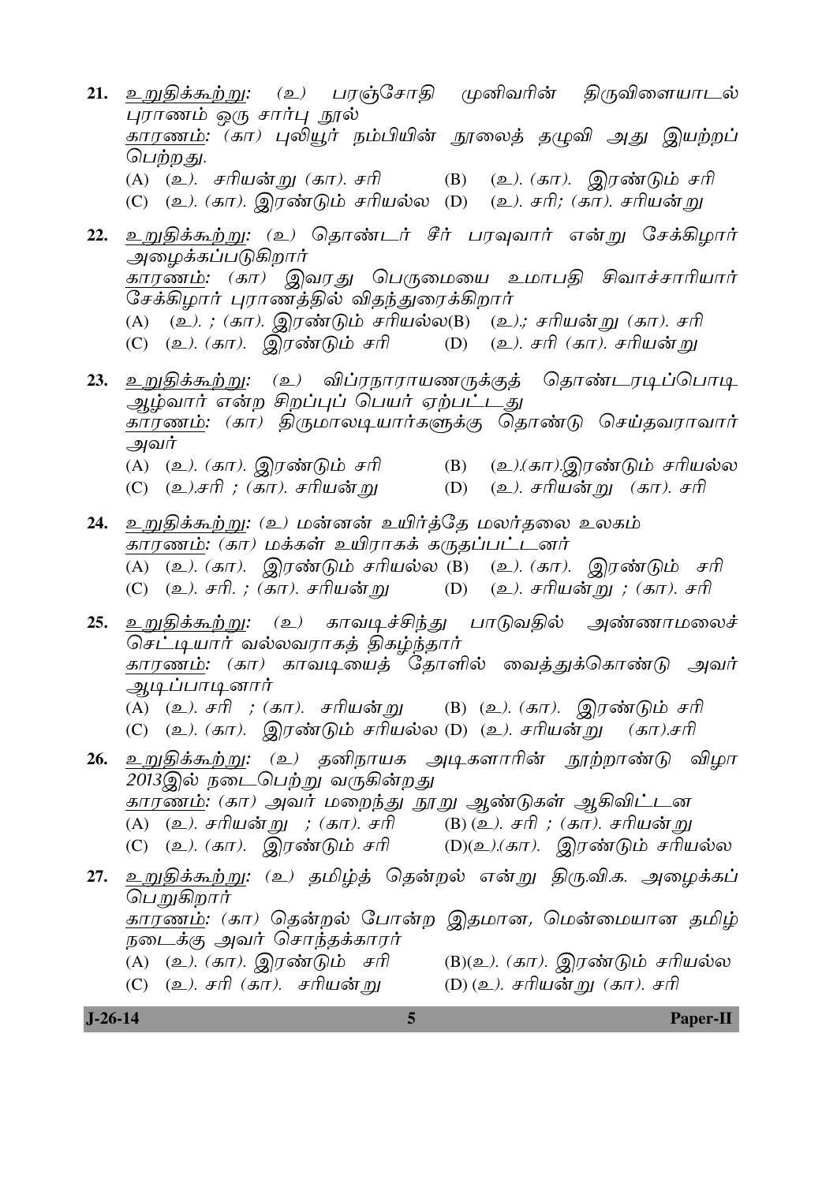21. உறுதிக்கூற்று: (உ) பரஞ்சோதி முனிவரின் திருவிளையாடல் புராணம் ஒரு சார்பு நூல் ,<br>காரணம்: (கா) புலியூர் நம்பியின் நூலைத் தமுவி அது இயற்றப் பெற்றது. (A) (உ). சரியன்று (கா). சரி (B) (உ). (கா). இரண்டும் சரி (C) (உ). (கா). இரண்டும் சரியல்ல (D) (உ). சரி; (கா). சரியன்று 22. உறுதிக்கூற்று: (உ) தொண்டர் சீர் பரவுவார் என்று சேக்கிழார் அமைக்கப்படுகிறார் <u>காரணம்</u>: (கா) இவரது பெருமையை உமாபதி சிவாச்சாரியார் சேக்கிழார் புராணத்தில் விதந்துரைக்கிறார் (A) (உ).; (கா). இரண்டும் சரியல்ல(B) (உ).; சரியன்று (கா). சரி (C) (உ). (கா). இரண்டும் சரி (D) (உ). சரி (கா). சரியன் று 23. உறுதிக்கூற்று: (உ) விப்ரநாராயணருக்குத் தொண்டரடிப்பொடி ஆழ்வார் என்ற சிறப்புப் பெயர் ஏற்பட்டது காரணம்: (கா) திருமாலடியார்களுக்கு தொண்டு செய்தவராவார் அவர்  $(B)$ (A) (உ*). (கா). இரண்டும் சரி* (உ).(கா).இரண்டும் சரியல்ல (D) (உ). சரியன்று (கா). சரி (C) (உ*).சரி ; (கா). சரியன்* று 24. உறுதிக்கூற்று: (உ) மன்னன் உயிர்த்தே மலர்தலை உலகம் காரணம்: (கா) மக்கள் உயிராகக் கருதப்பட்டனர் (A) (உ). (கா). இரண்டும் சரியல்ல (B) (உ). (கா). இரண்டும் சரி (C) (உ). சரி. ; (கா). சரியன்று (D) (உ*). சரியன்* று *; (கா). சரி* 25. <u>உறுதிக்கூற்று: (உ) காவடிச்சிந்து பாடுவதில் அண்ணாமலைச்</u> செட்டியார் வல்லவராகத் திகழ்ந்தார் <u>காரணம்</u>: (கா) காவடியைத் தோளில் வைத்துக்கொண்டு அவர் <u>அடிப்பாடினார்</u> ்து<br>(A) (உ). சரி ; (கா). சரியன்று (B) (உ). (கா). இரண்டும் சரி (C) (உ). (கா). இரண்டும் சரியல்ல (D) (உ). சரியன்று (கா).சரி 26. உறுதிக்கூற்று: (உ) தனிநாயக அடிகளாரின் நூற்றாண்டு விழா 2013இல் நடைபெற்று வருகின்றது <u>காரணம்</u>: (கா) அவர் மறைந்து நூறு ஆண்டுகள் ஆகிவிட்டன ் (A) (உ). சரியன்று ; (கா). சரி (B) (உ). சரி ; (கா). சரியன்று<br>(C) (உ). (கா). இரண்டும் சரி (D)(உ).(கா). இரண்டும் சரியல்ல 27. உறுதிக்கூற்று: (உ) தமிழ்த் தென்றல் என்று திரு.வி.க. அழைக்கப் பெறுகிறார் காரணம்: (கா) தென்றல் போன்ற இதமான, மென்மையான தமிழ் நடைக்கு அவர் சொந்தக்காரர் (A) (உ*). (கா).* இரண்டும் சரி (B)(உ). (கா). இரண்டும் சரியல்ல (C)  $(2)$ . சரி (கா). சரியன்று (D) (உ). சரியன்று (கா). சரி

Paper-II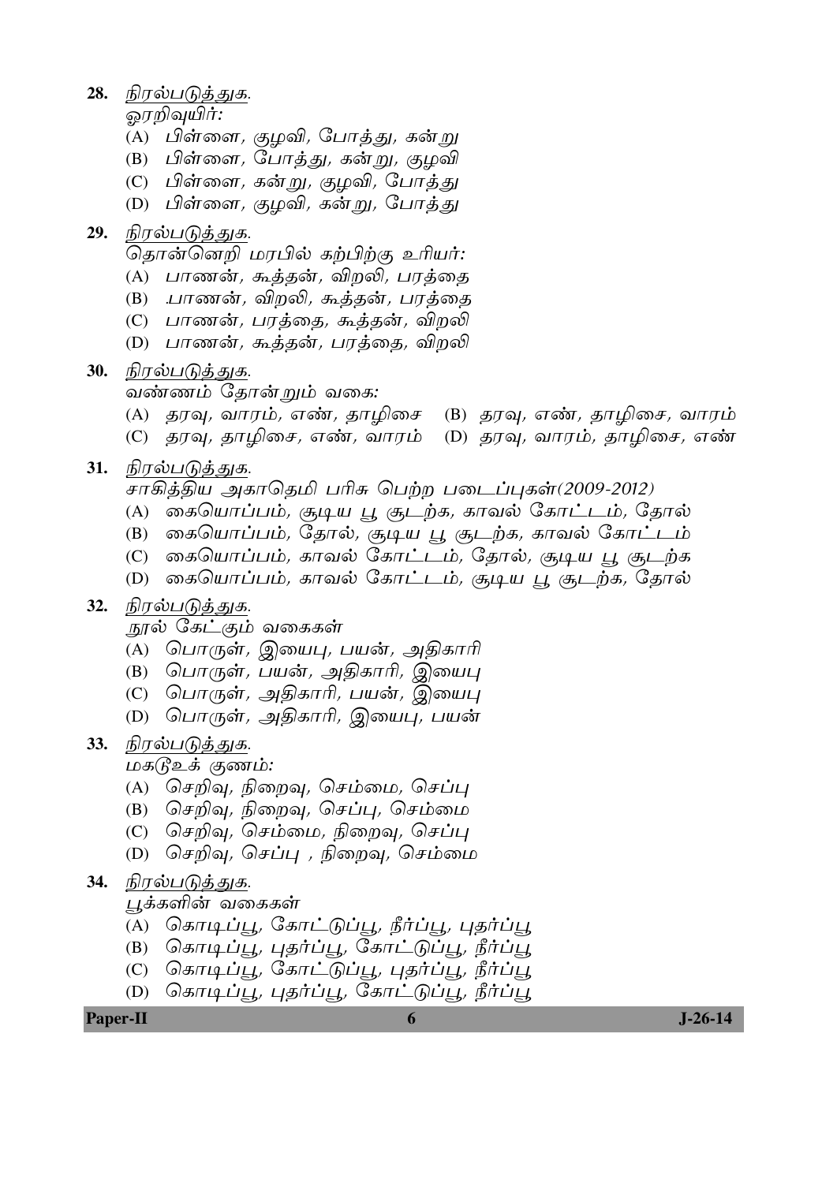28. நிரல்படுத்துக.

ஓரறிவுயிர்:

- (A) பிள்ளை, குழவி, போத்து, கன்று
- (B) பிள்ளை, போத்து, கன்று, குழவி
- $(C)$  பிள்ளை, கன்று, குழவி, போத்து
- (D) பிள்ளை*, குழவி, கன்று,* போத்து

## 29. நிரல்படுத்துக.

<del>தொன்னெறி மரபில் கற்பிற்கு</del> உரியர்:

- (A) பாணன், கூத்தன், விறலி, பரத்தை
- (B) .பாணன், விறலி, கூத்தன், பரத்தை
- (C) பாணன்*,* பரத்தை, கூத்தன்*,* விறலி
- (D) பாணன், கூத்தன், பரத்தை, விறலி

#### 30. நிரல்படுத்துக.

வண்ணம் தோன்றும் வகை:

- (A) தரவு, வாரம், எண், தாழிசை (B) தரவு, எண், தாழிசை, வாரம்
- (C) தரவு, தாழிசை, எண், வாரம் (D) தரவு, வாரம், தாழிசை, எண்

#### 31. நிரல்படுத்துக.

- சாகித்திய அகாதெமி பரிசு பெற்ற படைப்புகள்(2009-2012)
- (A) கையொப்பம், சூடிய பூ சூடற்க, காவல் கோட்டம், தோல்
- (B) கையொப்பம், தோல், சூடிய பூ சூடற்க, காவல் கோட்டம்
- (C) கையொப்பம், காவல் கோட்டம், தோல், சூடிய பூ சூடற்க
- (D) கையொப்பம், காவல் கோட்டம், சூடிய பூ சூடற்க, தோல்

### 32. நிரல்படுத்துக.

- நூல் கேட்கும் வகைகள்
- (A) பொருள், இயைபு, பயன், அதிகாரி
- $(B)$  பொருள், பயன், அதிகாரி, இயைபு
- $(C)$  பொருள், அதிகாரி, பயன், இயைபு
- $(D)$  பொருள், அதிகாரி, இயைபு, பயன்

### 33. நிரல்படுத்துக.

மகடுஉக் குணம்:

- (A) செறிவு, நிறைவு, செம்மை, செப்பு
- (B) செறிவு, நிறைவு, செப்பு, செம்மை
- (C) செறிவு, செம்மை, நிறைவு, செப்பு
- $(D)$  செறிவு, செப்பு, நிறைவு, செம்மை

### 34. நிரல்படுத்துக.

#### பூக்களின் வகைகள்

- (A) கொடிப்பூ, கோட்டுப்பூ, நீர்ப்பூ, புதர்ப்பூ
- $(B)$  கொடிப்பூ, புதர்ப்பூ, கோட்டுப்பூ, நீர்ப்பூ
- $(C)$  கொடிப்பூ, கோட்டுப்பூ, புதர்ப்பூ, நீர்ப்பூ
- (D) கொடிப்பூ, புதர்ப்பூ, கோட்டுப்பூ, நீர்ப்பூ

#### **Paper-II 6 J-26-14**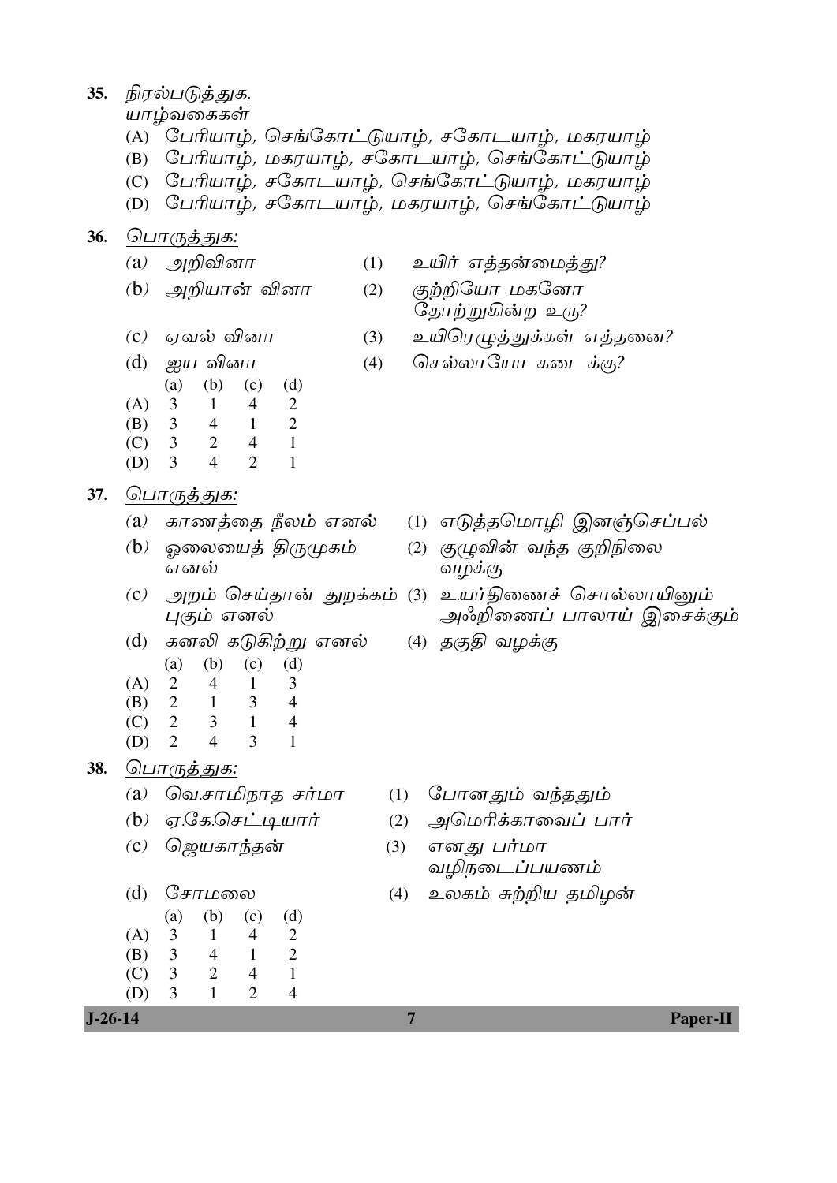#### 35. நிரல்படுத்துக.

யாழ்வகைகள்

- (A)  $G$ பரியாழ், செங்கோட்டுயாழ், சகோடயாழ், மகரயாழ்
- $(B)$  பிரியாழ், மகரயாழ், சகோடயாழ், செங்கோட்டுயாழ்
- $(C)$  பிரியாழ், சகோடயாழ், செங்கோட்டுயாழ், மகரயாழ்
- (D) பேரியாழ்*, ச*கோடயாழ்*, மகரயாழ், செங்கோட்டுயாழ்*

#### 36. பொருத்துக:

- 
- 
- (a) அறிவினா  $(1)$  உயிர் எத்தன்மைத்து?
- (b) அறியான் வினா (2) குற்றியோ மகனோ தோற்றுகின்ற உரு?
- (c) ஏவல் வினா  $(3)$  உயிரெழுத்துக்கள் எத்தனை?
- (d) ஐய வினா (4) செல்லாயோ கடைக்கு? (a) (b) (c) (d) (A) 3 1 4 2 (B) 3 4 1 2 (C) 3 2 4 1 (D) 3 4 2 1

37. *பொருத்துக*:

- 
- (b) KûXûVj §ÚØLm (2) ÏÝ®u YkR ϱ¨ûX
- 
- (d) கனலி கடுகிற்று எனல் (4) தகு§ (a) (b) (c) (d)  $2 \t 4 \t 1 \t 3$
- $(A)$  2 4 1
- (B) 2 1 3 4
- (C) 2 3 1 4 (D) 2 4 3 1
- 38. பொருத்துக:
	- (a) வெ.சாமிநாத சர்மா  $(1)$  போனதும் வந்ததும்
	- $(b)$  ஏ.கே.செட்டியார் (2) அமெரிக்காவைப் பார்
	- (c) ஜெயகாந்தன்  $(3)$  எனது பர்மா

(a) (b) (c) (d)

 (A) 3 1 4 2 (B) 3 4 1 2 (C) 3 2 4 1 (D) 3 1 2 4

- -
	-
	- வழிநடைப்பயணம்
- (d) சோமலை (4) உலகம் சுற்றிய தமிழன்

**J-26-14 7 Paper-II**

- (a) காணத்தை நீலம் எனல் (1) எடுத்தமொழி இனஞ்செப்பல்
	- வழக்கு
- (c) அறம் செய்தான் துறக்கம் (3) உயர்திணைச் சொல்லாயினும் புகும் எனல் மாணப் பாலாய் இசைக்கும்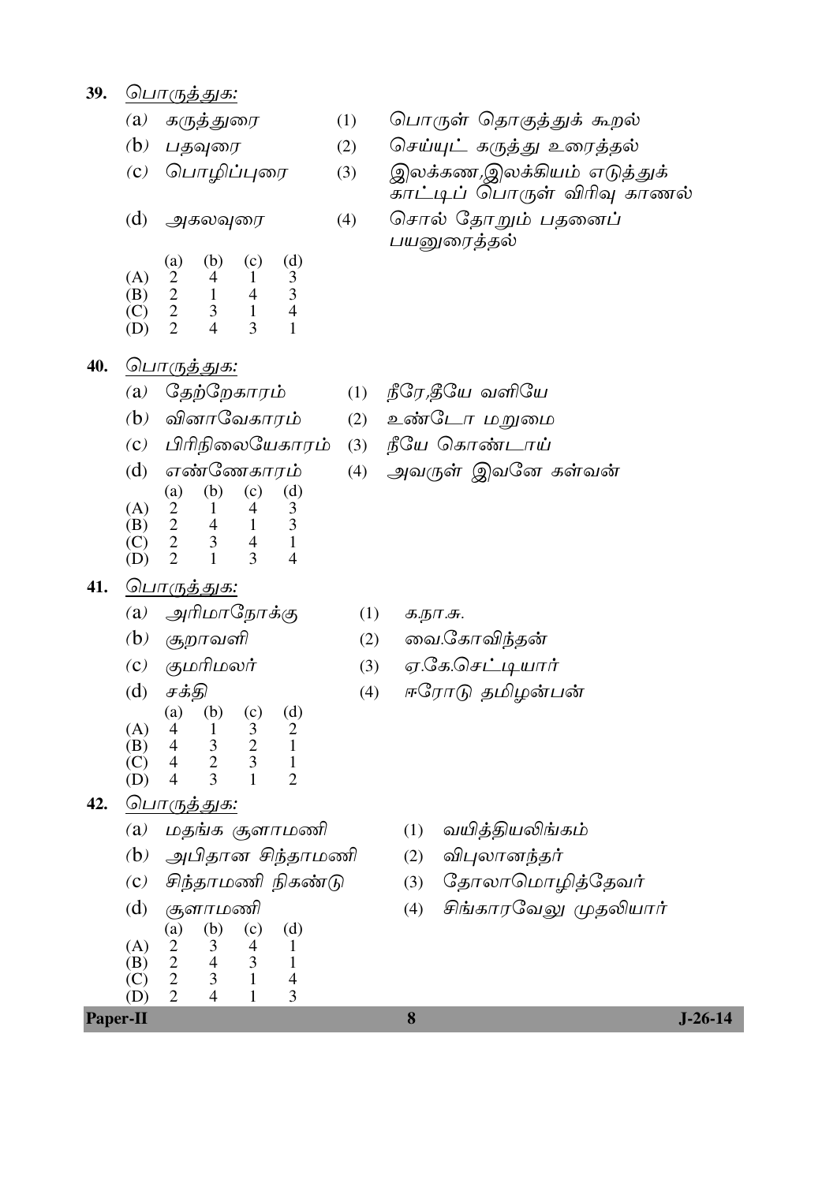39. பொருத்துக:

40.

41.

*க*ருத்துரை  $(a)$ 

 $(b)$  பதவுரை

பொழிப்புரை  $\left( \mathbf{c}\right)$ 

 $(1)$ 

 $(d)$ அகலவுரை

|     | (a) | (b) | (c) | (d) |
|-----|-----|-----|-----|-----|
| (A) | 2   | 4   |     | 3   |
| (B) | 2   | 1   | 4   | 3   |
| (C) | 2   | 3   | 1   | 4   |
| (D) | 2   | 4   | 3   |     |

(a)  $G_{\overline{2}}\overline{0}G_{\overline{2}}G_{\overline{2}}G_{\overline{1}}$ 

 $(b)$  வினாவேகாரம்

(d) எண்ணேகாரம்

 $(b)$ 

 $\mathbf{1}$ 

 $\overline{4}$ 

3

 $\mathbf{1}$ 

குமரிமலர்

 $(b)$ 

 $\mathbf{1}$ 

அரிமாநோக்கு

(c) பிரிநிலையேகாரம்

 $(c)$ 

 $\overline{4}$ 

 $\mathbf{1}$ 

 $\overline{4}$ 

3

 $(c)$ 

 $\overline{3}$ 

 $(d)$ 

3

 $\overline{3}$ 

 $\mathbf{1}$ 

 $\overline{4}$ 

 $(d)$ 

 $\overline{2}$ 

 $\overline{4}$ 

 $\overline{3}$ 

பொருத்துக:

 $(a)$ 

2

 $\overline{2}$ 

 $\overline{2}$ 

 $\overline{2}$ 

<u> பொருத்துக:</u>

 $(b)$  சூறாவளி

சக்தி

 $(a)$ 

 $\overline{4}$ 

 $(A)$ 

 $(B)$ 

 $(C)$ 

(D)

 $(a)$ 

 $(C)$ 

 $(d)$ 

 $(A)$ 

- பொருள் தொகுத்துக் கூறல்
- செய்யுட் கருத்து உரைத்தல்  $(2)$
- இலக்கண,இலக்கியம் எடுத்துக்  $(3)$ <u>காட்டிப் பொருள் விரிவு காணல்</u>
- சொல் தோறும் பதனைப்  $(4)$ பயனுரைத்தல்

- $(1)$  நீரே,தீயே வளியே
- (2) உண்டோ மறுமை
- (3) நீயே கொண்டாய்
- (4) அவருள் இவனே கள்வன்

- $(1)$ க.நா.சு.
- வை.கோவிந்தன்  $(2)$
- $(3)$
- $(4)$
- $\overline{2}$  $\overline{4}$  $\overline{3}$  $\mathbf{1}$  $(B)$  $\overline{C}$  $\overline{2}$  $\overline{3}$  $\overline{4}$  $\mathbf{1}$  $(D)$  $\overline{4}$ 3  $\mathbf{1}$  $\overline{2}$
- பொருத்துக: 42.
	- மதங்க சூளாமணி  $(a)$
	- (b) அபிதான சிந்தாமணி
	- சிந்தாமணி நிகண்டு  $\left( \mathbf{C}\right)$
	- சூளாமணி  $(d)$  $(a)$  $(b)$  $(c)$  $(d)$  $\sum$  $\mathfrak{Z}$  $(A)$  $\overline{4}$  $\mathbf{1}$  $\mathbf{1}$
	- $\overline{2}$  $\overline{4}$  $\overline{3}$  $(B)$  $\overline{2}$  $\vec{C}$  $\overline{3}$  $\mathbf{1}$  $(D)$  $\overline{2}$  $\overline{4}$  $\mathbf{1}$

**Paper-II** 

- 
- 
- ஏ.கே.செட்டியார்
- ஈரோடு தமிழன்பன்
	- வயித்தியலிங்கம்  $(1)$
	- விபுலானந்தர்  $(2)$
	- தோலாமொழித்தேவர்  $(3)$
	- சிங்காரவேலு முதலியார்  $(4)$

 $J-26-14$ 

8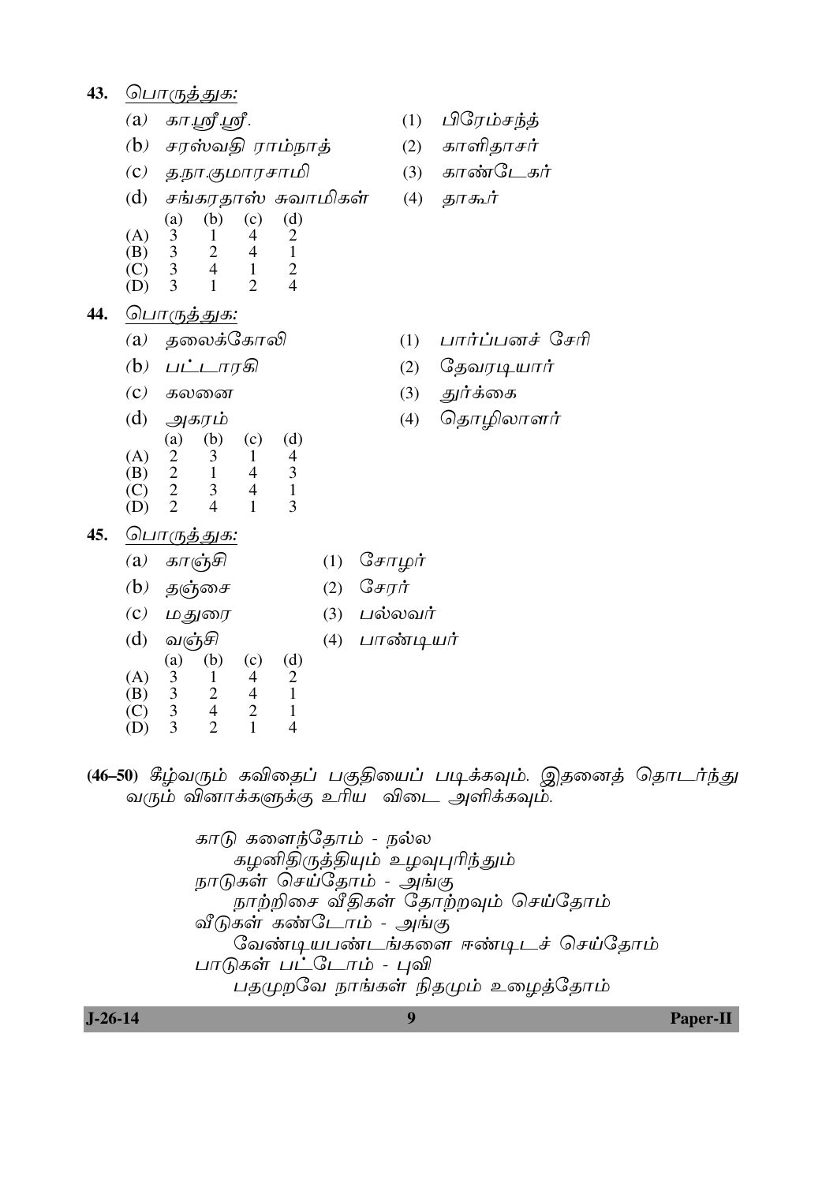43. பொருத்துக:

- $(a)$  கா.ஸ்ரீ.ஸ்ரீ.
- $(b)$  சரஸ்வதி ராம்நாத்
- (c) தநா.குமாரசாமி
- சங்கரதாஸ் சுவாமிகள்  $(d)$
- $(d)$  $(a)$ (b)  $(c)$  $(A)$ 3  $\mathbf{1}$  $\overline{4}$  $\overline{2}$
- $(B)$ 3  $\overline{2}$  $\overline{4}$  $\mathbf{1}$ 3  $\overline{4}$  $\mathbf{1}$  $\overline{2}$  $(C)$
- $\overline{3}$  $\mathbf{1}$  $\overline{2}$  $\overline{4}$ (D)
- 44. <u> பொருத்துக:</u>
	- தலைக்கோலி  $\left( a\right)$
	- (b) பட்டாரகி
	- $(C)$  கலனை
	- $(d)$ அகரம்  $(d)$  $(b)$  $(c)$ (a)  $(A)$  $\overline{2}$  $\overline{3}$  $\overline{4}$  $\mathbf{1}$  $\overline{2}$  $\overline{3}$  $\mathbf{1}$  $\overline{4}$ (B)  $\overline{2}$  $(C)$ 3  $\overline{4}$  $\mathbf{1}$  $(D)$  $\overline{2}$  $\overline{4}$  $\mathbf{1}$  $\mathcal{E}$
- (1)  $\angle$ பிரேம்சந்த்
- (2) காளிதாசர்
- (3) காண்டேகர்

 $(4)$ தூகூர்

- $(1)$  பார்ப்பனச் சேரி
- $(2)$ தேவரடியார்
- துர்க்கை  $(3)$
- தொழிலாளர்  $(4)$

- ப<u>ொருத்துக:</u>  $45.$ 
	- காஞ்சி (1)  $G_{\text{F}}$   $\pi \mu \dot{\pi}$  $(a)$  $(b)$ தஞ்சை சேரர்  $(2)$ (3)  $\Delta$ ல்லவர்  $\left( \mathbf{c} \right)$ மதுரை  $(d)$ வஞ்சி (4) பாண்டியர்  $(d)$  $(c)$ (a)  $(b)$  $(A)$ 3  $\mathbf{1}$  $\overline{4}$  $\overline{2}$  $\overline{3}$  $\overline{2}$  $\mathbf{1}$ (B)  $\overline{4}$  $(C)$ 3  $\overline{4}$  $\overline{2}$  $\mathbf{1}$ 3  $\overline{2}$  $\mathbf{1}$  $\overline{4}$ (D)
- (46–50) கீழ்வரும் கவிதைப் பகுதியைப் படிக்கவும். இதனைத் தொடர்ந்து வரும் வினாக்களுக்கு உரிய விடை அளிக்கவும்.

காடு களைந்தோம் - நல்ல கழனிதிருத்தியும் உழவுபுரிந்தும் நாடுகள் செய்தோம் - அங்கு நாற்றிசை வீதிகள் தோற்றவும் செய்தோம் வீடுகள் கண்டோம் - அங்கு வேண்டியபண்டங்களை ஈண்டிடச் செய்தோம் பாடுகள் பட்டோம் - புவி பதமுறவே நாங்கள் நிதமும் உழைத்தோம்

 $J-26-14$ 

**Paper-II**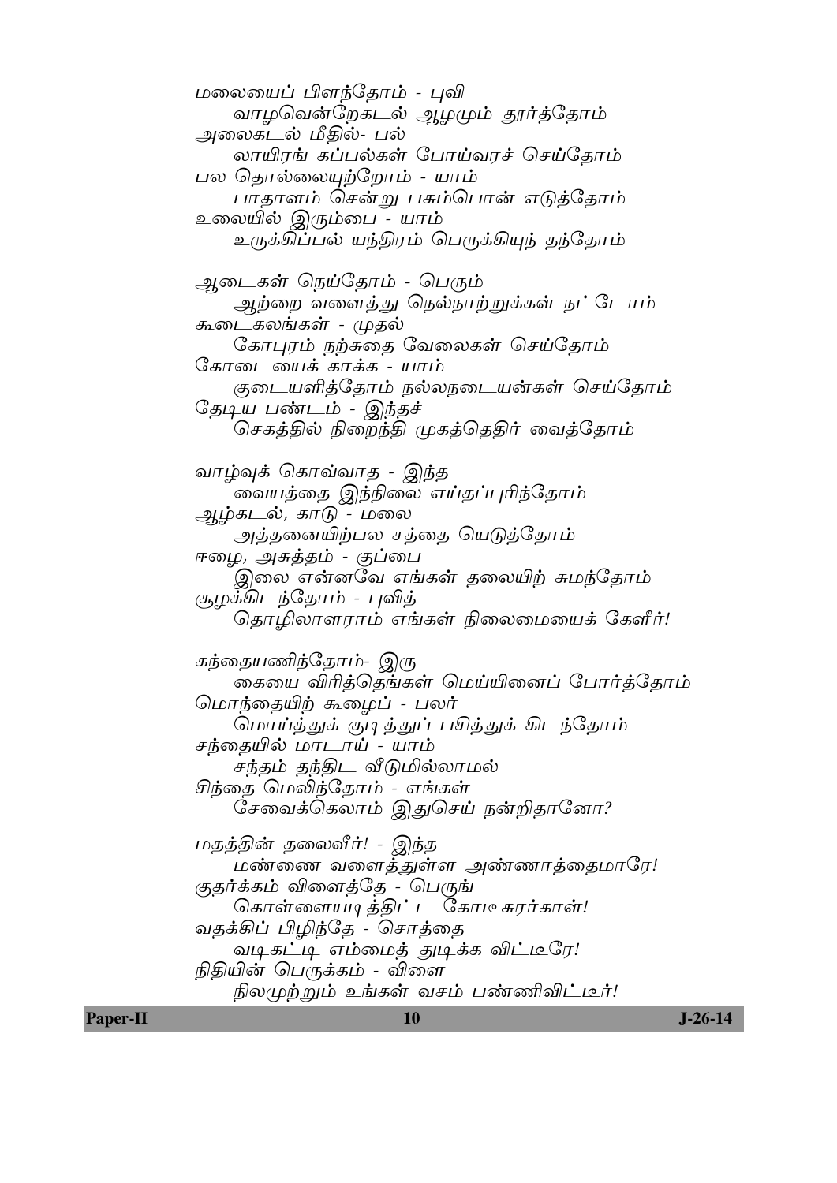மலையைப் பிளந்தோம் - புவி வாழவென்றேகடல் ஆழமும் தூர்த்தோம் அலைகடல் மீதில்- பல் லாயிரங் கப்பல்கள் போய்வரச் செய்தோம் பல தொல்லையுற்றோம் - யாம் பாதாளம் சென்று பசும்பொன் எடுத்தோம் உலையில் இரும்பை - யாம் உருக்கிப்பல் யந்திரம் பெருக்கியுந் தந்தோம் ஆடைகள் நெய்தோம் - பெரும் ஆற்றை வளைத்து நெல்நாற்றுக்கள் நட்டோம் கூடைகலங்கள் - முதல் கோபுரம் நற்சுதை வேலைகள் செய்தோம் கோடையைக் காக்க - யாம் குடையளித்தோம் நல்லநடையன்கள் செய்தோம் தேடிய பண்டம் - இந்தச் செகத்தில் நிறைந்தி முகத்தெதிர் வைத்தோம் வாழ்வுக் கொவ்வாத - இந்த வையத்தை இந்நிலை எய்தப்புரிந்தோம் அம்கடல், காடு - மலை அத்தனையிற்பல சத்தை யெடுத்தோம் ஈழை*, அசுத்தம் - குப்பை* இலை என்னவே எங்கள் தலையிற் சுமந்தோம் சூழக்கிடந்தோம் - புவித் தொழிலாளராம் எங்கள் நிலைமையைக் கேளீர்! கந்தையணிந்தோம்- இரு கையை விரித்தெங்கள் மெய்யினைப் போர்த்தோம் மொந்தையிற் கூழைப் - பலர் மொய்த்துக் குடித்துப் பசித்துக் கிடந்தோம் சந்தையில் மாடாய் - யாம் சந்தம் தந்திட வீடுமில்லாமல் சிந்தை மெலிந்தோம் - எங்கள் சேவைக்கெலாம் இதுசெய் நன்றிதானோ? மதத்தின் தலைவீர்! - இந்த மண்ணை வளைத்துள்ள அண்ணாத்தைமாரே! குதர்க்கம் விளைத்தே - பெருங் கொள்ளையடித்திட்ட கோடீசுரர்காள்! வதக்கிப் பிழிந்தே - சொத்தை வடிகட்டி எம்மைத் துடிக்க விட்டீரே! நிதியின் பெருக்கம் - விளை நிலமுற்றும் உங்கள் வசம் பண்ணிவிட்டீர்! 10

**Paper-II** 

 $J - 26 - 14$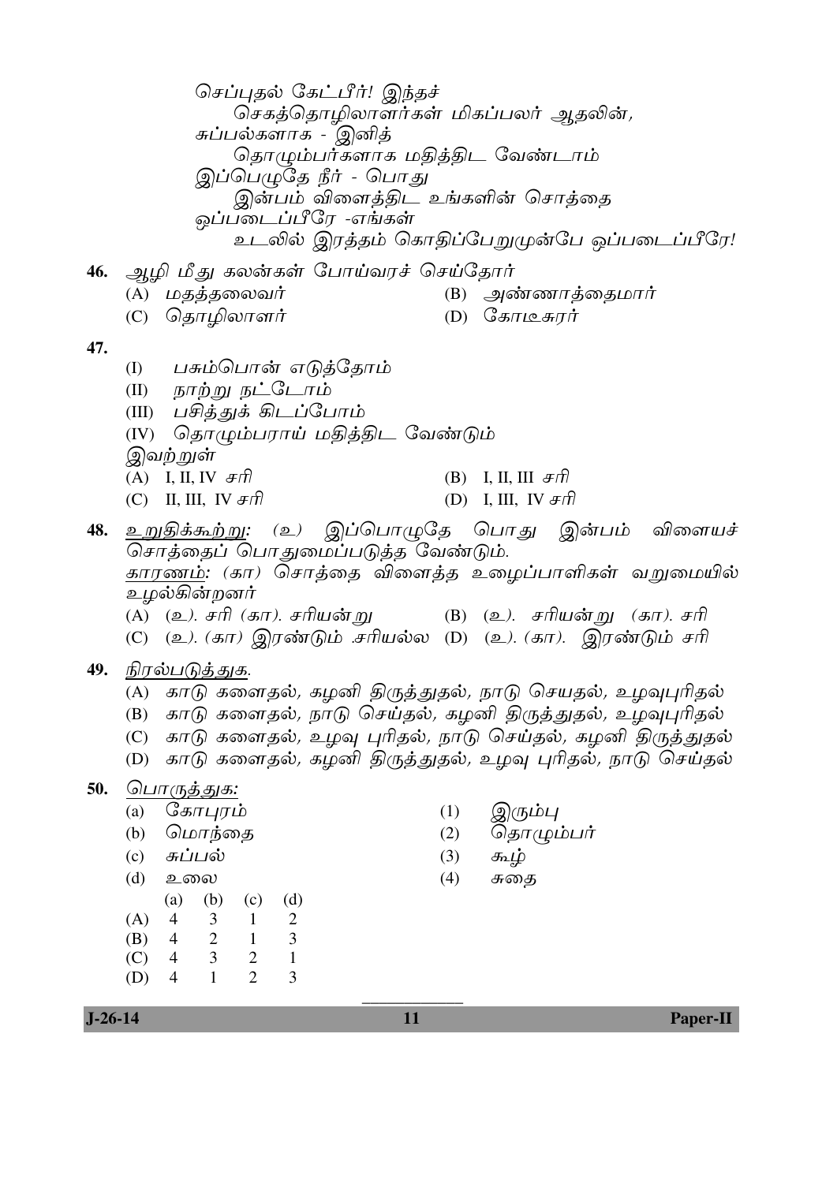செப்புதல் கேட்பீர்! இந்தச் செகத்தொழிலாளர்கள் மிகப்பலர் ஆதலின், சுப்பல்களாக - இனித் தொழும்பர்களாக மதித்திட வேண்டாம் இப்பெமுதே நீர் - பொது இன்பம் விளைத்திட உங்களின் சொத்தை ஒப்படைப்பீரே *-*எங்கள் உடலில் இரத்தம் கொதிப்பேறுமுன்பே ஒப்படைப்பீரே! 46. ஆழி மீது கலன்கள் போய்வரச் செய்தோர் (B) அண்ணாத்தைமார் (A) மதத்தலைவர் (C) தொழிலாளர் (D)  $G$ காடீசுரர் 47. பசும்பொன் எடுத்தோம்  $(1)$ (II) நாற்று நட்டோம் (III) பசித்துக் கிடப்போம் (IV) தொழும்பராய் மதித்திட வேண்டும் இவ<u>ற் ற</u>ுள் (A) I, II, IV  $\mathcal{F}\mathcal{F}$ (B) I, II, III  $\mathcal{F}\hat{\pi}$ (C) II, III, IV  $\mathcal{F}\eta$ (D) I, III, IV  $\mathcal{F}\hat{\pi}$ 48. உறுதிக்கூற்று: (உ) இப்பொழுதே பொது இன்பம் விளையச் சொத்தைப் பொதுமைப்படுத்த வேண்டும். <u>காரணம்</u>: (கா) சொத்தை விளைத்த உழைப்பாளிகள் வறுமையில் உமல்கின்றனர் (A) (உ*). சரி (கா). சரியன்* று (B) (உ*). சரியன்*று *(கா).*சரி (C) (உ). (கா) இரண்டும் சரியல்ல (D) (உ). (கா). இரண்டும் சரி 49. நிரல்படுத்துக. (A) காடு களைதல், கழனி திருத்துதல், நாடு செயதல், உழவுபுரிதல் (B) காடு களைதல், நாடு செய்தல், கமனி திருத்துதல், உமவபரிதல் (C) காடு களைதல், உழவு புரிதல், நாடு செய்தல், கழனி திருத்துதல் (D) காடு களைதல், கழனி திருத்துதல், உழவு புரிதல், நாடு செய்தல் <u>50. பொருத்துக:</u> (a)  $G_{\mathcal{B}}$  $\pi$ *u* $\pi$ *i* $\sigma$  $(1)$ இரும்பு (b) மொந்தை  $(2)$ தொழும்பர்  $(c)$  சுப்பல்  $(3)$ கூழ்  $(d)$  உலை  $(4)$ சுதை (a) (b) (c) (d)  $(A)$  4  $\mathcal{E}$  $\overline{1}$  $\mathcal{D}_{\mathcal{L}}$  $\overline{2}$  $\overline{1}$  $\overline{3}$ (B)  $\overline{4}$  $(C)$  4  $\overline{3}$ 2  $\overline{1}$ 

 $(D)$  4

 $1$ 

 $\overline{2}$ 

3

Paper-II